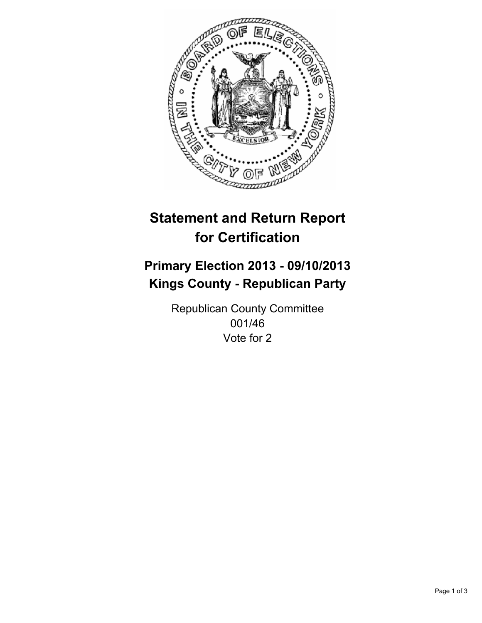

# **Statement and Return Report for Certification**

# **Primary Election 2013 - 09/10/2013 Kings County - Republican Party**

Republican County Committee 001/46 Vote for 2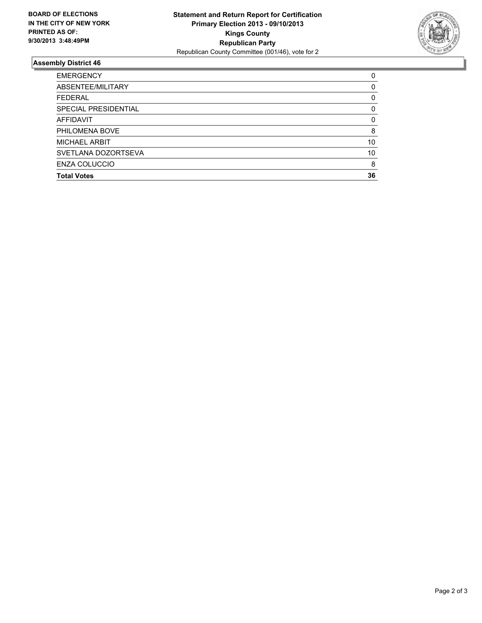

## **Assembly District 46**

| ABSENTEE/MILITARY<br><b>FEDERAL</b><br>SPECIAL PRESIDENTIAL<br><b>AFFIDAVIT</b><br>PHILOMENA BOVE<br><b>MICHAEL ARBIT</b><br>SVETLANA DOZORTSEVA<br><b>ENZA COLUCCIO</b><br><b>Total Votes</b> | <b>EMERGENCY</b> | 0        |
|------------------------------------------------------------------------------------------------------------------------------------------------------------------------------------------------|------------------|----------|
|                                                                                                                                                                                                |                  | 0        |
|                                                                                                                                                                                                |                  | 0        |
|                                                                                                                                                                                                |                  | 0        |
|                                                                                                                                                                                                |                  | $\Omega$ |
|                                                                                                                                                                                                |                  | 8        |
|                                                                                                                                                                                                |                  | 10       |
|                                                                                                                                                                                                |                  | 10       |
|                                                                                                                                                                                                |                  | 8        |
|                                                                                                                                                                                                |                  | 36       |